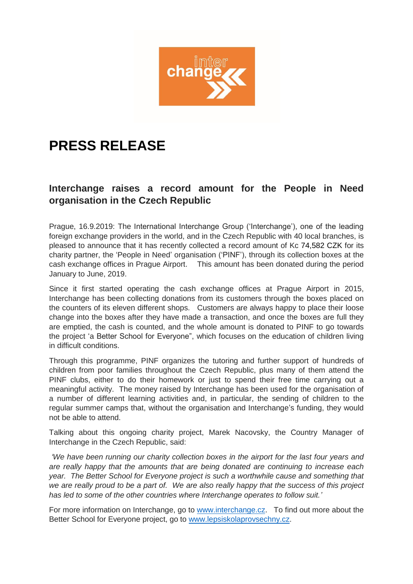

## **PRESS RELEASE**

## **Interchange raises a record amount for the People in Need organisation in the Czech Republic**

Prague, 16.9.2019: The International Interchange Group ('Interchange'), one of the leading foreign exchange providers in the world, and in the Czech Republic with 40 local branches, is pleased to announce that it has recently collected a record amount of Kc 74,582 CZK for its charity partner, the 'People in Need' organisation ('PINF'), through its collection boxes at the cash exchange offices in Prague Airport. This amount has been donated during the period January to June, 2019.

Since it first started operating the cash exchange offices at Prague Airport in 2015, Interchange has been collecting donations from its customers through the boxes placed on the counters of its eleven different shops. Customers are always happy to place their loose change into the boxes after they have made a transaction, and once the boxes are full they are emptied, the cash is counted, and the whole amount is donated to PINF to go towards the project 'a Better School for Everyone", which focuses on the education of children living in difficult conditions.

Through this programme, PINF organizes the tutoring and further support of hundreds of children from poor families throughout the Czech Republic, plus many of them attend the PINF clubs, either to do their homework or just to spend their free time carrying out a meaningful activity. The money raised by Interchange has been used for the organisation of a number of different learning activities and, in particular, the sending of children to the regular summer camps that, without the organisation and Interchange's funding, they would not be able to attend.

Talking about this ongoing charity project, Marek Nacovsky, the Country Manager of Interchange in the Czech Republic, said:

*'We have been running our charity collection boxes in the airport for the last four years and are really happy that the amounts that are being donated are continuing to increase each year. The Better School for Everyone project is such a worthwhile cause and something that we are really proud to be a part of. We are also really happy that the success of this project has led to some of the other countries where Interchange operates to follow suit.'*

For more information on Interchange, go to [www.interchange.cz.](http://www.interchange.cz/) To find out more about the Better School for Everyone project, go to [www.lepsiskolaprovsechny.cz.](http://www.lepsiskolaprovsechny.cz/)